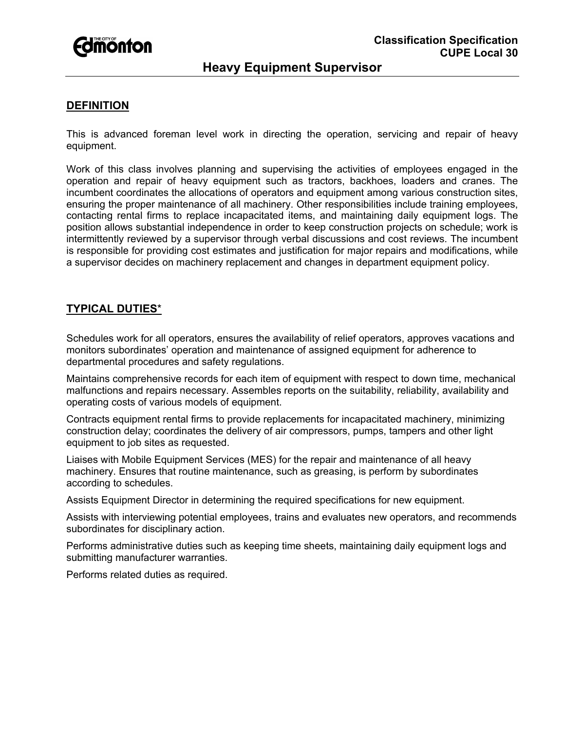

# **Heavy Equipment Supervisor**

### **DEFINITION**

This is advanced foreman level work in directing the operation, servicing and repair of heavy equipment.

Work of this class involves planning and supervising the activities of employees engaged in the operation and repair of heavy equipment such as tractors, backhoes, loaders and cranes. The incumbent coordinates the allocations of operators and equipment among various construction sites, ensuring the proper maintenance of all machinery. Other responsibilities include training employees, contacting rental firms to replace incapacitated items, and maintaining daily equipment logs. The position allows substantial independence in order to keep construction projects on schedule; work is intermittently reviewed by a supervisor through verbal discussions and cost reviews. The incumbent is responsible for providing cost estimates and justification for major repairs and modifications, while a supervisor decides on machinery replacement and changes in department equipment policy.

## **TYPICAL DUTIES**\*

Schedules work for all operators, ensures the availability of relief operators, approves vacations and monitors subordinates' operation and maintenance of assigned equipment for adherence to departmental procedures and safety regulations.

Maintains comprehensive records for each item of equipment with respect to down time, mechanical malfunctions and repairs necessary. Assembles reports on the suitability, reliability, availability and operating costs of various models of equipment.

Contracts equipment rental firms to provide replacements for incapacitated machinery, minimizing construction delay; coordinates the delivery of air compressors, pumps, tampers and other light equipment to job sites as requested.

Liaises with Mobile Equipment Services (MES) for the repair and maintenance of all heavy machinery. Ensures that routine maintenance, such as greasing, is perform by subordinates according to schedules.

Assists Equipment Director in determining the required specifications for new equipment.

Assists with interviewing potential employees, trains and evaluates new operators, and recommends subordinates for disciplinary action.

Performs administrative duties such as keeping time sheets, maintaining daily equipment logs and submitting manufacturer warranties.

Performs related duties as required.